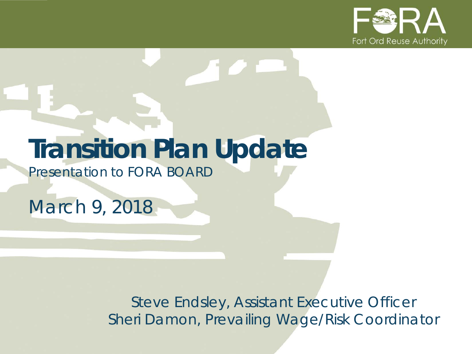

# **Transition Plan Update**

*Presentation to FORA BOARD*

*March 9, 2018*

*Steve Endsley, Assistant Executive Officer Sheri Damon, Prevailing Wage/Risk Coordinator*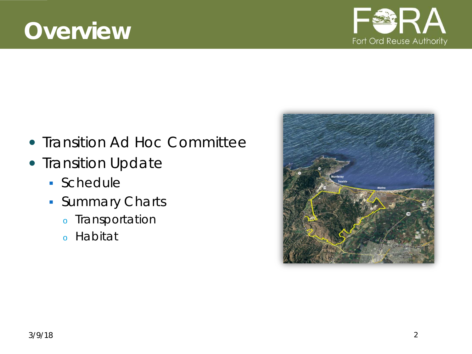### **Overview**

- Transition Ad Hoc Committee
- Transition Update
	- Schedule
	- **Summary Charts** 
		- <sup>o</sup> Transportation
		- <sup>o</sup> Habitat



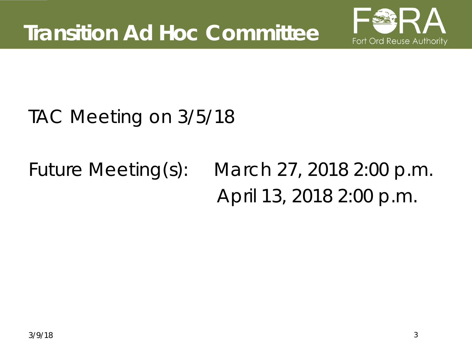

### TAC Meeting on 3/5/18

# Future Meeting(s): March 27, 2018 2:00 p.m. April 13, 2018 2:00 p.m.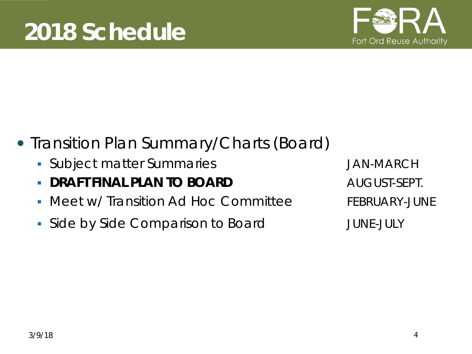

- Transition Plan Summary/Charts (Board)
	- **Subject matter Summaries Group Constrained Annual System** JAN-MARCH
	- **DRAFT FINAL PLAN TO BOARD AUGUST-SEPT.**
	- Meet w/ Transition Ad Hoc Committee FEBRUARY-JUNE
	- Side by Side Comparison to Board TUNE-JULY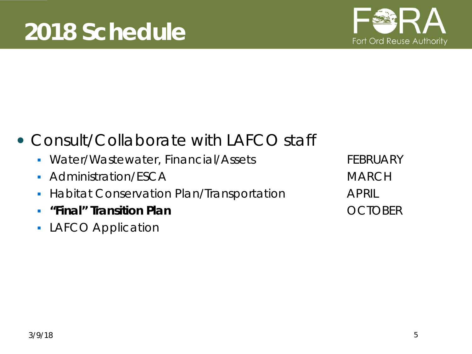

### • Consult/Collaborate with LAFCO staff

- Water/Wastewater, Financial/Assets FEBRUARY
- Administration/ESCA MARCH
- **Habitat Conservation Plan/Transportation APRIL**
- **"Final" Transition Plan** OCTOBER
- **LAFCO Application**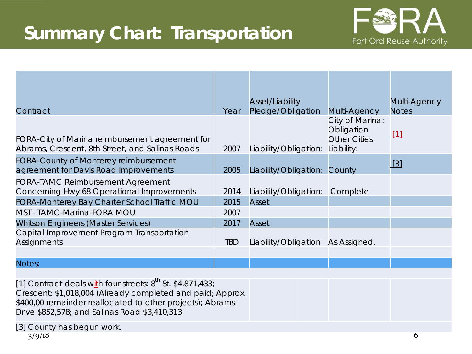### **Summary Chart: Transportation**



| Contract                                                                                           | Year       | Asset/Liability<br>Pledge/Obligation | Multi-Agency                                                       | Multi-Agency<br><b>Notes</b> |
|----------------------------------------------------------------------------------------------------|------------|--------------------------------------|--------------------------------------------------------------------|------------------------------|
| FORA-City of Marina reimbursement agreement for<br>Abrams, Crescent, 8th Street, and Salinas Roads | 2007       | Liability/Obligation:                | City of Marina:<br>Obligation<br><b>Other Cities</b><br>Liability: | $\lceil 1 \rceil$            |
| FORA-County of Monterey reimbursement<br>agreement for Davis Road Improvements                     | 2005       | Liability/Obligation: County         |                                                                    | $\lceil 3 \rceil$            |
| <b>FORA-TAMC Reimbursement Agreement</b><br>Concerning Hwy 68 Operational Improvements             | 2014       | Liability/Obligation:                | Complete                                                           |                              |
| FORA-Monterey Bay Charter School Traffic MOU                                                       | 2015       | Asset                                |                                                                    |                              |
| MST - TAMC-Marina-FORA MOU                                                                         | 2007       |                                      |                                                                    |                              |
| <b>Whitson Engineers (Master Services)</b>                                                         | 2017       | Asset                                |                                                                    |                              |
| Capital Improvement Program Transportation<br>Assignments                                          | <b>TBD</b> | Liability/Obligation                 | As Assigned.                                                       |                              |
| Notes:                                                                                             |            |                                      |                                                                    |                              |

[1] Contract deals with four streets:  $8^{th}$  St. \$4,871,433; Crescent: \$1,018,004 (Already completed and paid; Approx. \$400,00 remainder reallocated to other projects); Abrams Drive \$852,578; and Salinas Road \$3,410,313.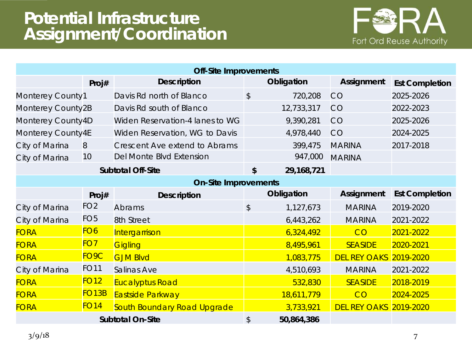#### **Potential Infrastructure Assignment/Coordination**



| <b>Off-Site Improvements</b> |                    |                                 |               |            |                     |                       |  |  |  |
|------------------------------|--------------------|---------------------------------|---------------|------------|---------------------|-----------------------|--|--|--|
|                              | Proj#              | <b>Description</b>              |               | Obligation | Assignment          | <b>Est Completion</b> |  |  |  |
| Monterey County1             |                    | Davis Rd north of Blanco        | $\frac{1}{2}$ | 720,208    | CO                  | 2025-2026             |  |  |  |
| Monterey County2B            |                    | Davis Rd south of Blanco        | 12,733,317    |            | CO                  | 2022-2023             |  |  |  |
| Monterey County4D            |                    | Widen Reservation-4 lanes to WG |               | 9,390,281  | CO                  | 2025-2026             |  |  |  |
| Monterey County4E            |                    | Widen Reservation, WG to Davis  |               | 4,978,440  | CO                  | 2024-2025             |  |  |  |
| City of Marina               | 8                  | Crescent Ave extend to Abrams   |               | 399,475    | <b>MARINA</b>       | 2017-2018             |  |  |  |
| City of Marina               | 10                 | Del Monte Blvd Extension        | 947,000       |            | <b>MARINA</b>       |                       |  |  |  |
| <b>Subtotal Off-Site</b>     |                    | \$                              | 29,168,721    |            |                     |                       |  |  |  |
| <b>On-Site Improvements</b>  |                    |                                 |               |            |                     |                       |  |  |  |
|                              | Proj#              | <b>Description</b>              |               | Obligation | Assignment          | <b>Est Completion</b> |  |  |  |
| City of Marina               | FO <sub>2</sub>    | Abrams                          | $\frac{1}{2}$ | 1,127,673  | <b>MARINA</b>       | 2019-2020             |  |  |  |
| City of Marina               | FO <sub>5</sub>    | 8th Street                      |               | 6,443,262  | <b>MARINA</b>       | 2021-2022             |  |  |  |
| <b>FORA</b>                  | FO6                | Intergarrison                   |               | 6,324,492  | CO                  | 2021-2022             |  |  |  |
| <b>FORA</b>                  | FO7                | <b>Gigling</b>                  |               | 8,495,961  | <b>SEASIDE</b>      | 2020-2021             |  |  |  |
| <b>FORA</b>                  | FO9C               | <b>GJM Blvd</b>                 |               | 1,083,775  | <b>DEL REY OAKS</b> | 2019-2020             |  |  |  |
| City of Marina               | <b>FO11</b>        | Salinas Ave                     |               | 4,510,693  | <b>MARINA</b>       | 2021-2022             |  |  |  |
| <b>FORA</b>                  | <b>FO12</b>        | <b>Eucalyptus Road</b>          |               | 532,830    | <b>SEASIDE</b>      | 2018-2019             |  |  |  |
| <b>FORA</b>                  | FO <sub>1</sub> 3B | <b>Eastside Parkway</b>         |               | 18,611,779 | CO                  | 2024-2025             |  |  |  |
| <b>FORA</b>                  | <b>FO14</b>        | South Boundary Road Upgrade     |               | 3,733,921  | <b>DEL REY OAKS</b> | 2019-2020             |  |  |  |
| <b>Subtotal On-Site</b>      |                    | $\boldsymbol{\mathsf{S}}$       | 50,864,386    |            |                     |                       |  |  |  |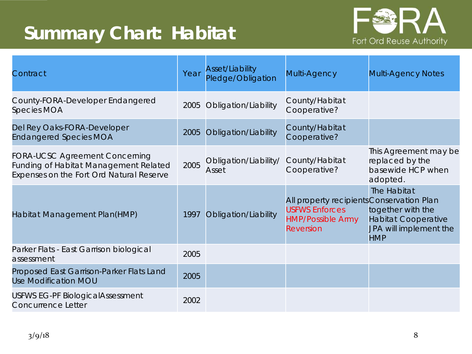### **Summary Chart: Habitat**



| Contract                                                                                                                          | Year | <b>Asset/Liability</b><br>Pledge/Obligation | Multi-Agency                                                                                                | <b>Multi-Agency Notes</b>                                                                              |
|-----------------------------------------------------------------------------------------------------------------------------------|------|---------------------------------------------|-------------------------------------------------------------------------------------------------------------|--------------------------------------------------------------------------------------------------------|
| County-FORA-Developer Endangered<br><b>Species MOA</b>                                                                            | 2005 | Obligation/Liability                        | County/Habitat<br>Cooperative?                                                                              |                                                                                                        |
| Del Rey Oaks-FORA-Developer<br><b>Endangered Species MOA</b>                                                                      | 2005 | Obligation/Liability                        | County/Habitat<br>Cooperative?                                                                              |                                                                                                        |
| <b>FORA-UCSC Agreement Concerning</b><br><b>Funding of Habitat Management Related</b><br>Expenses on the Fort Ord Natural Reserve | 2005 | Obligation/Liability/<br>Asset              | County/Habitat<br>Cooperative?                                                                              | This Agreement may be<br>replaced by the<br>basewide HCP when<br>adopted.                              |
| Habitat Management Plan(HMP)                                                                                                      | 1997 | Obligation/Liability                        | All property recipients Conservation Plan<br><b>USFWS Enforces</b><br><b>HMP/Possible Army</b><br>Reversion | The Habitat<br>together with the<br><b>Habitat Cooperative</b><br>JPA will implement the<br><b>HMP</b> |
| Parker Flats - East Garrison biological<br>assessment                                                                             | 2005 |                                             |                                                                                                             |                                                                                                        |
| Proposed East Garrison-Parker Flats Land<br><b>Use Modification MOU</b>                                                           | 2005 |                                             |                                                                                                             |                                                                                                        |
| <b>USFWS EG-PF BiologicalAssessment</b><br><b>Concurrence Letter</b>                                                              | 2002 |                                             |                                                                                                             |                                                                                                        |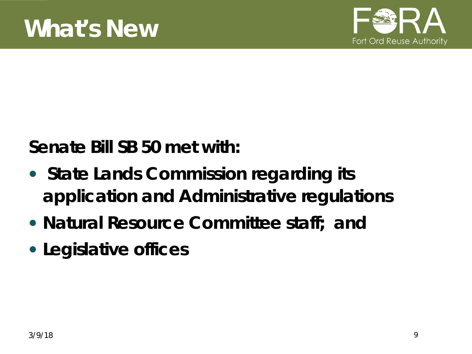

**Senate Bill SB 50 met with:**

- **State Lands Commission regarding its application and Administrative regulations**
- **Natural Resource Committee staff; and**
- **Legislative offices**